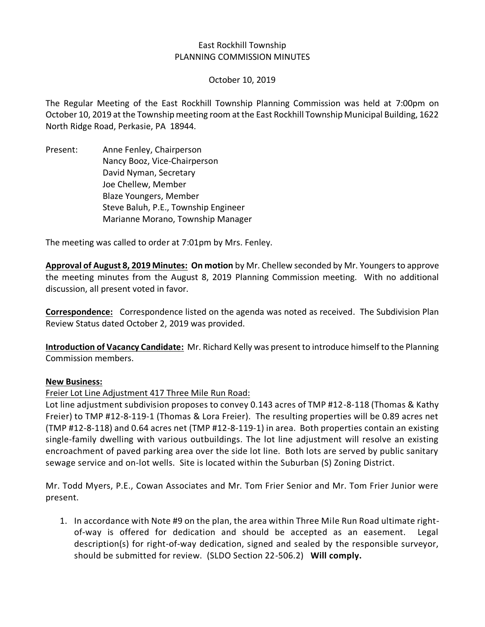#### East Rockhill Township PLANNING COMMISSION MINUTES

October 10, 2019

The Regular Meeting of the East Rockhill Township Planning Commission was held at 7:00pm on October 10, 2019 at the Township meeting room at the East Rockhill Township Municipal Building, 1622 North Ridge Road, Perkasie, PA 18944.

Present: Anne Fenley, Chairperson Nancy Booz, Vice-Chairperson David Nyman, Secretary Joe Chellew, Member Blaze Youngers, Member Steve Baluh, P.E., Township Engineer Marianne Morano, Township Manager

The meeting was called to order at 7:01pm by Mrs. Fenley.

**Approval of August 8, 2019 Minutes: On motion** by Mr. Chellew seconded by Mr. Youngersto approve the meeting minutes from the August 8, 2019 Planning Commission meeting. With no additional discussion, all present voted in favor.

**Correspondence:** Correspondence listed on the agenda was noted as received. The Subdivision Plan Review Status dated October 2, 2019 was provided.

**Introduction of Vacancy Candidate:** Mr. Richard Kelly was present to introduce himself to the Planning Commission members.

#### **New Business:**

Freier Lot Line Adjustment 417 Three Mile Run Road:

Lot line adjustment subdivision proposes to convey 0.143 acres of TMP #12-8-118 (Thomas & Kathy Freier) to TMP #12-8-119-1 (Thomas & Lora Freier). The resulting properties will be 0.89 acres net (TMP #12-8-118) and 0.64 acres net (TMP #12-8-119-1) in area. Both properties contain an existing single-family dwelling with various outbuildings. The lot line adjustment will resolve an existing encroachment of paved parking area over the side lot line. Both lots are served by public sanitary sewage service and on-lot wells. Site is located within the Suburban (S) Zoning District.

Mr. Todd Myers, P.E., Cowan Associates and Mr. Tom Frier Senior and Mr. Tom Frier Junior were present.

1. In accordance with Note #9 on the plan, the area within Three Mile Run Road ultimate rightof-way is offered for dedication and should be accepted as an easement. Legal description(s) for right-of-way dedication, signed and sealed by the responsible surveyor, should be submitted for review. (SLDO Section 22-506.2) **Will comply.**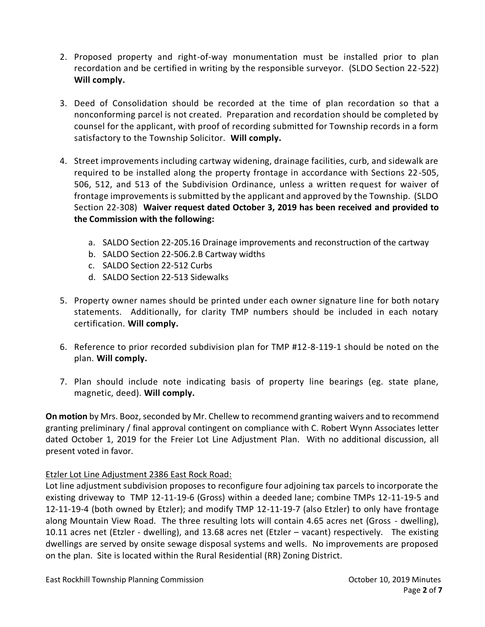- 2. Proposed property and right-of-way monumentation must be installed prior to plan recordation and be certified in writing by the responsible surveyor. (SLDO Section 22-522) **Will comply.**
- 3. Deed of Consolidation should be recorded at the time of plan recordation so that a nonconforming parcel is not created. Preparation and recordation should be completed by counsel for the applicant, with proof of recording submitted for Township records in a form satisfactory to the Township Solicitor. **Will comply.**
- 4. Street improvements including cartway widening, drainage facilities, curb, and sidewalk are required to be installed along the property frontage in accordance with Sections 22-505, 506, 512, and 513 of the Subdivision Ordinance, unless a written request for waiver of frontage improvements is submitted by the applicant and approved by the Township. (SLDO Section 22-308) **Waiver request dated October 3, 2019 has been received and provided to the Commission with the following:**
	- a. SALDO Section 22-205.16 Drainage improvements and reconstruction of the cartway
	- b. SALDO Section 22-506.2.B Cartway widths
	- c. SALDO Section 22-512 Curbs
	- d. SALDO Section 22-513 Sidewalks
- 5. Property owner names should be printed under each owner signature line for both notary statements. Additionally, for clarity TMP numbers should be included in each notary certification. **Will comply.**
- 6. Reference to prior recorded subdivision plan for TMP #12-8-119-1 should be noted on the plan. **Will comply.**
- 7. Plan should include note indicating basis of property line bearings (eg. state plane, magnetic, deed). **Will comply.**

**On motion** by Mrs. Booz, seconded by Mr. Chellew to recommend granting waivers and to recommend granting preliminary / final approval contingent on compliance with C. Robert Wynn Associates letter dated October 1, 2019 for the Freier Lot Line Adjustment Plan. With no additional discussion, all present voted in favor.

# Etzler Lot Line Adjustment 2386 East Rock Road:

Lot line adjustment subdivision proposes to reconfigure four adjoining tax parcels to incorporate the existing driveway to TMP 12-11-19-6 (Gross) within a deeded lane; combine TMPs 12-11-19-5 and 12-11-19-4 (both owned by Etzler); and modify TMP 12-11-19-7 (also Etzler) to only have frontage along Mountain View Road. The three resulting lots will contain 4.65 acres net (Gross - dwelling), 10.11 acres net (Etzler - dwelling), and 13.68 acres net (Etzler – vacant) respectively. The existing dwellings are served by onsite sewage disposal systems and wells. No improvements are proposed on the plan. Site is located within the Rural Residential (RR) Zoning District.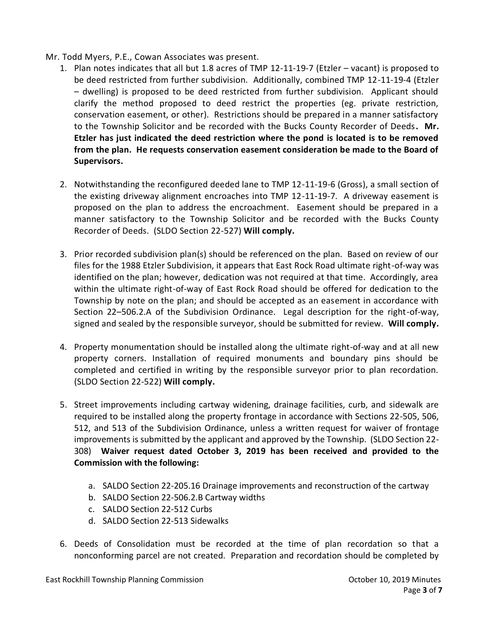### Mr. Todd Myers, P.E., Cowan Associates was present.

- 1. Plan notes indicates that all but 1.8 acres of TMP 12-11-19-7 (Etzler vacant) is proposed to be deed restricted from further subdivision. Additionally, combined TMP 12-11-19-4 (Etzler – dwelling) is proposed to be deed restricted from further subdivision. Applicant should clarify the method proposed to deed restrict the properties (eg. private restriction, conservation easement, or other). Restrictions should be prepared in a manner satisfactory to the Township Solicitor and be recorded with the Bucks County Recorder of Deeds**. Mr. Etzler has just indicated the deed restriction where the pond is located is to be removed from the plan. He requests conservation easement consideration be made to the Board of Supervisors.**
- 2. Notwithstanding the reconfigured deeded lane to TMP 12-11-19-6 (Gross), a small section of the existing driveway alignment encroaches into TMP 12-11-19-7. A driveway easement is proposed on the plan to address the encroachment. Easement should be prepared in a manner satisfactory to the Township Solicitor and be recorded with the Bucks County Recorder of Deeds. (SLDO Section 22-527) **Will comply.**
- 3. Prior recorded subdivision plan(s) should be referenced on the plan. Based on review of our files for the 1988 Etzler Subdivision, it appears that East Rock Road ultimate right-of-way was identified on the plan; however, dedication was not required at that time. Accordingly, area within the ultimate right-of-way of East Rock Road should be offered for dedication to the Township by note on the plan; and should be accepted as an easement in accordance with Section 22–506.2.A of the Subdivision Ordinance. Legal description for the right-of-way, signed and sealed by the responsible surveyor, should be submitted for review. **Will comply.**
- 4. Property monumentation should be installed along the ultimate right-of-way and at all new property corners. Installation of required monuments and boundary pins should be completed and certified in writing by the responsible surveyor prior to plan recordation. (SLDO Section 22-522) **Will comply.**
- 5. Street improvements including cartway widening, drainage facilities, curb, and sidewalk are required to be installed along the property frontage in accordance with Sections 22-505, 506, 512, and 513 of the Subdivision Ordinance, unless a written request for waiver of frontage improvements is submitted by the applicant and approved by the Township. (SLDO Section 22- 308) **Waiver request dated October 3, 2019 has been received and provided to the Commission with the following:**
	- a. SALDO Section 22-205.16 Drainage improvements and reconstruction of the cartway
	- b. SALDO Section 22-506.2.B Cartway widths
	- c. SALDO Section 22-512 Curbs
	- d. SALDO Section 22-513 Sidewalks
- 6. Deeds of Consolidation must be recorded at the time of plan recordation so that a nonconforming parcel are not created. Preparation and recordation should be completed by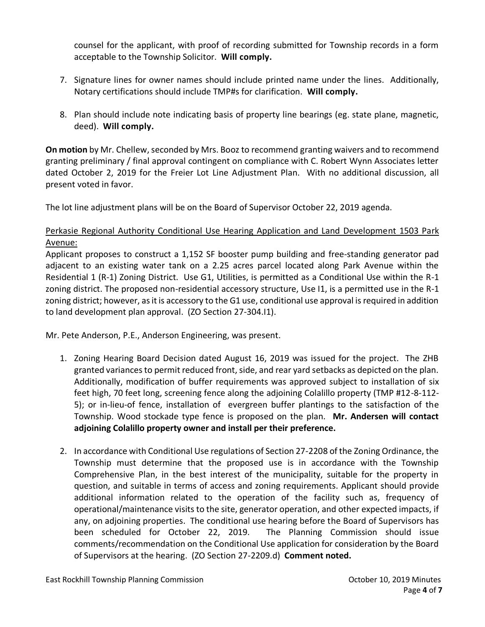counsel for the applicant, with proof of recording submitted for Township records in a form acceptable to the Township Solicitor. **Will comply.**

- 7. Signature lines for owner names should include printed name under the lines. Additionally, Notary certifications should include TMP#s for clarification. **Will comply.**
- 8. Plan should include note indicating basis of property line bearings (eg. state plane, magnetic, deed). **Will comply.**

**On motion** by Mr. Chellew, seconded by Mrs. Booz to recommend granting waivers and to recommend granting preliminary / final approval contingent on compliance with C. Robert Wynn Associates letter dated October 2, 2019 for the Freier Lot Line Adjustment Plan. With no additional discussion, all present voted in favor.

The lot line adjustment plans will be on the Board of Supervisor October 22, 2019 agenda.

# Perkasie Regional Authority Conditional Use Hearing Application and Land Development 1503 Park Avenue:

Applicant proposes to construct a 1,152 SF booster pump building and free-standing generator pad adjacent to an existing water tank on a 2.25 acres parcel located along Park Avenue within the Residential 1 (R-1) Zoning District. Use G1, Utilities, is permitted as a Conditional Use within the R-1 zoning district. The proposed non-residential accessory structure, Use I1, is a permitted use in the R-1 zoning district; however, as it is accessory to the G1 use, conditional use approval is required in addition to land development plan approval. (ZO Section 27-304.I1).

Mr. Pete Anderson, P.E., Anderson Engineering, was present.

- 1. Zoning Hearing Board Decision dated August 16, 2019 was issued for the project. The ZHB granted variances to permit reduced front, side, and rear yard setbacks as depicted on the plan. Additionally, modification of buffer requirements was approved subject to installation of six feet high, 70 feet long, screening fence along the adjoining Colalillo property (TMP #12-8-112- 5); or in-lieu-of fence, installation of evergreen buffer plantings to the satisfaction of the Township. Wood stockade type fence is proposed on the plan. **Mr. Andersen will contact adjoining Colalillo property owner and install per their preference.**
- 2. In accordance with Conditional Use regulations of Section 27-2208 of the Zoning Ordinance, the Township must determine that the proposed use is in accordance with the Township Comprehensive Plan, in the best interest of the municipality, suitable for the property in question, and suitable in terms of access and zoning requirements. Applicant should provide additional information related to the operation of the facility such as, frequency of operational/maintenance visits to the site, generator operation, and other expected impacts, if any, on adjoining properties. The conditional use hearing before the Board of Supervisors has been scheduled for October 22, 2019. The Planning Commission should issue comments/recommendation on the Conditional Use application for consideration by the Board of Supervisors at the hearing. (ZO Section 27-2209.d) **Comment noted.**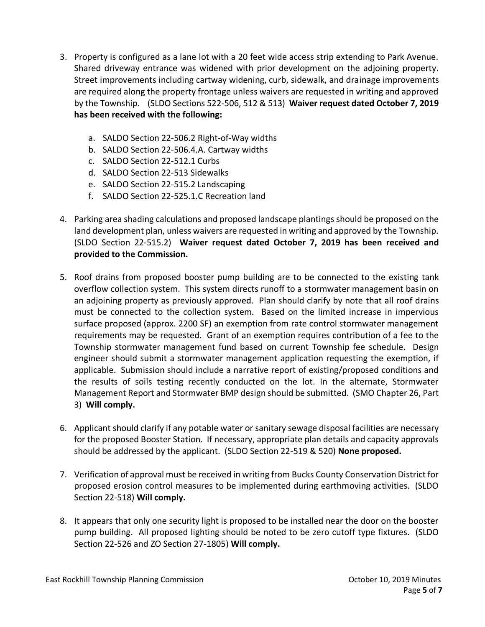- 3. Property is configured as a lane lot with a 20 feet wide access strip extending to Park Avenue. Shared driveway entrance was widened with prior development on the adjoining property. Street improvements including cartway widening, curb, sidewalk, and drainage improvements are required along the property frontage unless waivers are requested in writing and approved by the Township. (SLDO Sections 522-506, 512 & 513) **Waiver request dated October 7, 2019 has been received with the following:**
	- a. SALDO Section 22-506.2 Right-of-Way widths
	- b. SALDO Section 22-506.4.A. Cartway widths
	- c. SALDO Section 22-512.1 Curbs
	- d. SALDO Section 22-513 Sidewalks
	- e. SALDO Section 22-515.2 Landscaping
	- f. SALDO Section 22-525.1.C Recreation land
- 4. Parking area shading calculations and proposed landscape plantings should be proposed on the land development plan, unless waivers are requested in writing and approved by the Township. (SLDO Section 22-515.2) **Waiver request dated October 7, 2019 has been received and provided to the Commission.**
- 5. Roof drains from proposed booster pump building are to be connected to the existing tank overflow collection system. This system directs runoff to a stormwater management basin on an adjoining property as previously approved. Plan should clarify by note that all roof drains must be connected to the collection system. Based on the limited increase in impervious surface proposed (approx. 2200 SF) an exemption from rate control stormwater management requirements may be requested. Grant of an exemption requires contribution of a fee to the Township stormwater management fund based on current Township fee schedule. Design engineer should submit a stormwater management application requesting the exemption, if applicable. Submission should include a narrative report of existing/proposed conditions and the results of soils testing recently conducted on the lot. In the alternate, Stormwater Management Report and Stormwater BMP design should be submitted. (SMO Chapter 26, Part 3) **Will comply.**
- 6. Applicant should clarify if any potable water or sanitary sewage disposal facilities are necessary for the proposed Booster Station. If necessary, appropriate plan details and capacity approvals should be addressed by the applicant. (SLDO Section 22-519 & 520) **None proposed.**
- 7. Verification of approval must be received in writing from Bucks County Conservation District for proposed erosion control measures to be implemented during earthmoving activities. (SLDO Section 22-518) **Will comply.**
- 8. It appears that only one security light is proposed to be installed near the door on the booster pump building. All proposed lighting should be noted to be zero cutoff type fixtures. (SLDO Section 22-526 and ZO Section 27-1805) **Will comply.**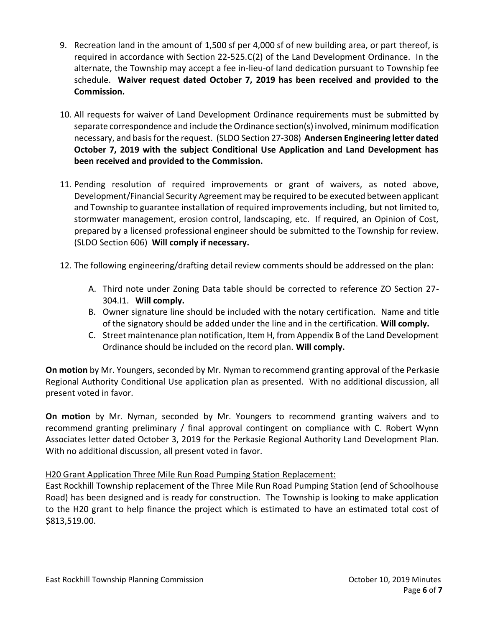- 9. Recreation land in the amount of 1,500 sf per 4,000 sf of new building area, or part thereof, is required in accordance with Section 22-525.C(2) of the Land Development Ordinance. In the alternate, the Township may accept a fee in-lieu-of land dedication pursuant to Township fee schedule. **Waiver request dated October 7, 2019 has been received and provided to the Commission.**
- 10. All requests for waiver of Land Development Ordinance requirements must be submitted by separate correspondence and include the Ordinance section(s) involved, minimum modification necessary, and basis for the request. (SLDO Section 27-308) **Andersen Engineering letter dated October 7, 2019 with the subject Conditional Use Application and Land Development has been received and provided to the Commission.**
- 11. Pending resolution of required improvements or grant of waivers, as noted above, Development/Financial Security Agreement may be required to be executed between applicant and Township to guarantee installation of required improvements including, but not limited to, stormwater management, erosion control, landscaping, etc. If required, an Opinion of Cost, prepared by a licensed professional engineer should be submitted to the Township for review. (SLDO Section 606) **Will comply if necessary.**
- 12. The following engineering/drafting detail review comments should be addressed on the plan:
	- A. Third note under Zoning Data table should be corrected to reference ZO Section 27- 304.I1. **Will comply.**
	- B. Owner signature line should be included with the notary certification. Name and title of the signatory should be added under the line and in the certification. **Will comply.**
	- C. Street maintenance plan notification, Item H, from Appendix B of the Land Development Ordinance should be included on the record plan. **Will comply.**

**On motion** by Mr. Youngers, seconded by Mr. Nyman to recommend granting approval of the Perkasie Regional Authority Conditional Use application plan as presented. With no additional discussion, all present voted in favor.

**On motion** by Mr. Nyman, seconded by Mr. Youngers to recommend granting waivers and to recommend granting preliminary / final approval contingent on compliance with C. Robert Wynn Associates letter dated October 3, 2019 for the Perkasie Regional Authority Land Development Plan. With no additional discussion, all present voted in favor.

## H20 Grant Application Three Mile Run Road Pumping Station Replacement:

East Rockhill Township replacement of the Three Mile Run Road Pumping Station (end of Schoolhouse Road) has been designed and is ready for construction. The Township is looking to make application to the H20 grant to help finance the project which is estimated to have an estimated total cost of \$813,519.00.